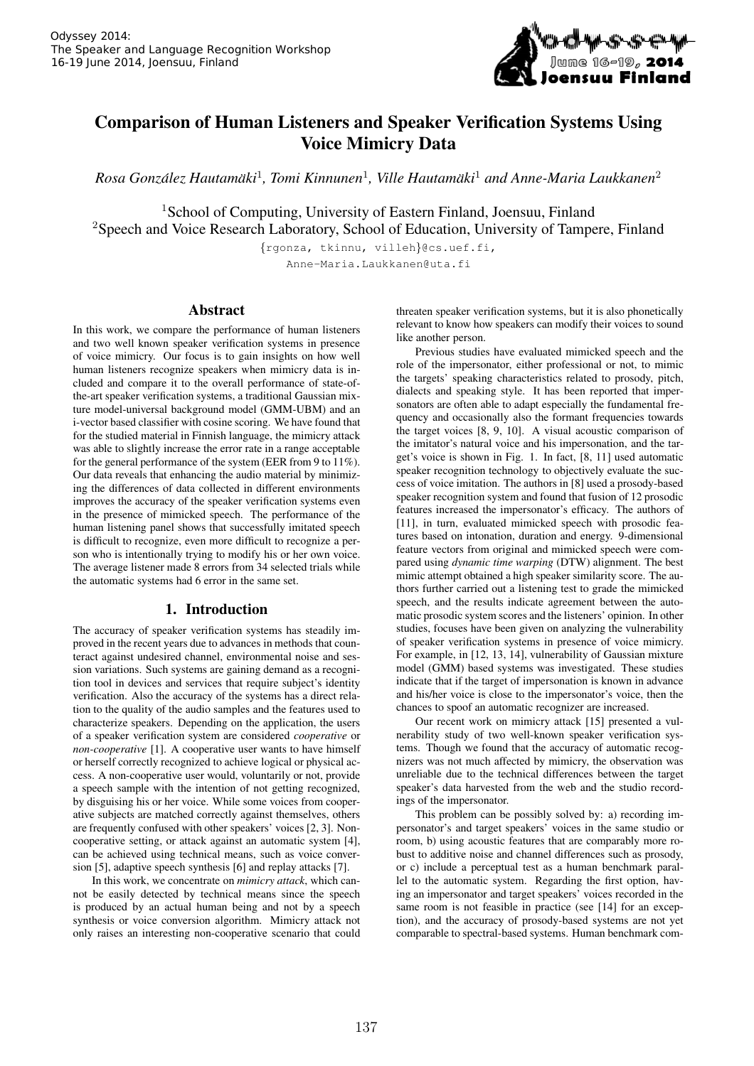

# Comparison of Human Listeners and Speaker Verification Systems Using Voice Mimicry Data

 $R$ osa González Hautamäki<sup>1</sup>, Tomi Kinnunen<sup>1</sup>, Ville Hautamäki<sup>1</sup> and Anne-Maria Laukkanen<sup>2</sup>

<sup>1</sup>School of Computing, University of Eastern Finland, Joensuu, Finland <sup>2</sup>Speech and Voice Research Laboratory, School of Education, University of Tampere, Finland

{rgonza, tkinnu, villeh}@cs.uef.fi, Anne-Maria.Laukkanen@uta.fi

# Abstract

In this work, we compare the performance of human listeners and two well known speaker verification systems in presence of voice mimicry. Our focus is to gain insights on how well human listeners recognize speakers when mimicry data is included and compare it to the overall performance of state-ofthe-art speaker verification systems, a traditional Gaussian mixture model-universal background model (GMM-UBM) and an i-vector based classifier with cosine scoring. We have found that for the studied material in Finnish language, the mimicry attack was able to slightly increase the error rate in a range acceptable for the general performance of the system (EER from 9 to 11%). Our data reveals that enhancing the audio material by minimizing the differences of data collected in different environments improves the accuracy of the speaker verification systems even in the presence of mimicked speech. The performance of the human listening panel shows that successfully imitated speech is difficult to recognize, even more difficult to recognize a person who is intentionally trying to modify his or her own voice. The average listener made 8 errors from 34 selected trials while the automatic systems had 6 error in the same set.

## 1. Introduction

The accuracy of speaker verification systems has steadily improved in the recent years due to advances in methods that counteract against undesired channel, environmental noise and session variations. Such systems are gaining demand as a recognition tool in devices and services that require subject's identity verification. Also the accuracy of the systems has a direct relation to the quality of the audio samples and the features used to characterize speakers. Depending on the application, the users of a speaker verification system are considered *cooperative* or *non-cooperative* [1]. A cooperative user wants to have himself or herself correctly recognized to achieve logical or physical access. A non-cooperative user would, voluntarily or not, provide a speech sample with the intention of not getting recognized, by disguising his or her voice. While some voices from cooperative subjects are matched correctly against themselves, others are frequently confused with other speakers' voices [2, 3]. Noncooperative setting, or attack against an automatic system [4], can be achieved using technical means, such as voice conversion [5], adaptive speech synthesis [6] and replay attacks [7].

In this work, we concentrate on *mimicry attack*, which cannot be easily detected by technical means since the speech is produced by an actual human being and not by a speech synthesis or voice conversion algorithm. Mimicry attack not only raises an interesting non-cooperative scenario that could threaten speaker verification systems, but it is also phonetically relevant to know how speakers can modify their voices to sound like another person.

Previous studies have evaluated mimicked speech and the role of the impersonator, either professional or not, to mimic the targets' speaking characteristics related to prosody, pitch, dialects and speaking style. It has been reported that impersonators are often able to adapt especially the fundamental frequency and occasionally also the formant frequencies towards the target voices [8, 9, 10]. A visual acoustic comparison of the imitator's natural voice and his impersonation, and the target's voice is shown in Fig. 1. In fact, [8, 11] used automatic speaker recognition technology to objectively evaluate the success of voice imitation. The authors in [8] used a prosody-based speaker recognition system and found that fusion of 12 prosodic features increased the impersonator's efficacy. The authors of [11], in turn, evaluated mimicked speech with prosodic features based on intonation, duration and energy. 9-dimensional feature vectors from original and mimicked speech were compared using *dynamic time warping* (DTW) alignment. The best mimic attempt obtained a high speaker similarity score. The authors further carried out a listening test to grade the mimicked speech, and the results indicate agreement between the automatic prosodic system scores and the listeners' opinion. In other studies, focuses have been given on analyzing the vulnerability of speaker verification systems in presence of voice mimicry. For example, in [12, 13, 14], vulnerability of Gaussian mixture model (GMM) based systems was investigated. These studies indicate that if the target of impersonation is known in advance and his/her voice is close to the impersonator's voice, then the chances to spoof an automatic recognizer are increased.

Our recent work on mimicry attack [15] presented a vulnerability study of two well-known speaker verification systems. Though we found that the accuracy of automatic recognizers was not much affected by mimicry, the observation was unreliable due to the technical differences between the target speaker's data harvested from the web and the studio recordings of the impersonator.

This problem can be possibly solved by: a) recording impersonator's and target speakers' voices in the same studio or room, b) using acoustic features that are comparably more robust to additive noise and channel differences such as prosody, or c) include a perceptual test as a human benchmark parallel to the automatic system. Regarding the first option, having an impersonator and target speakers' voices recorded in the same room is not feasible in practice (see [14] for an exception), and the accuracy of prosody-based systems are not yet comparable to spectral-based systems. Human benchmark com-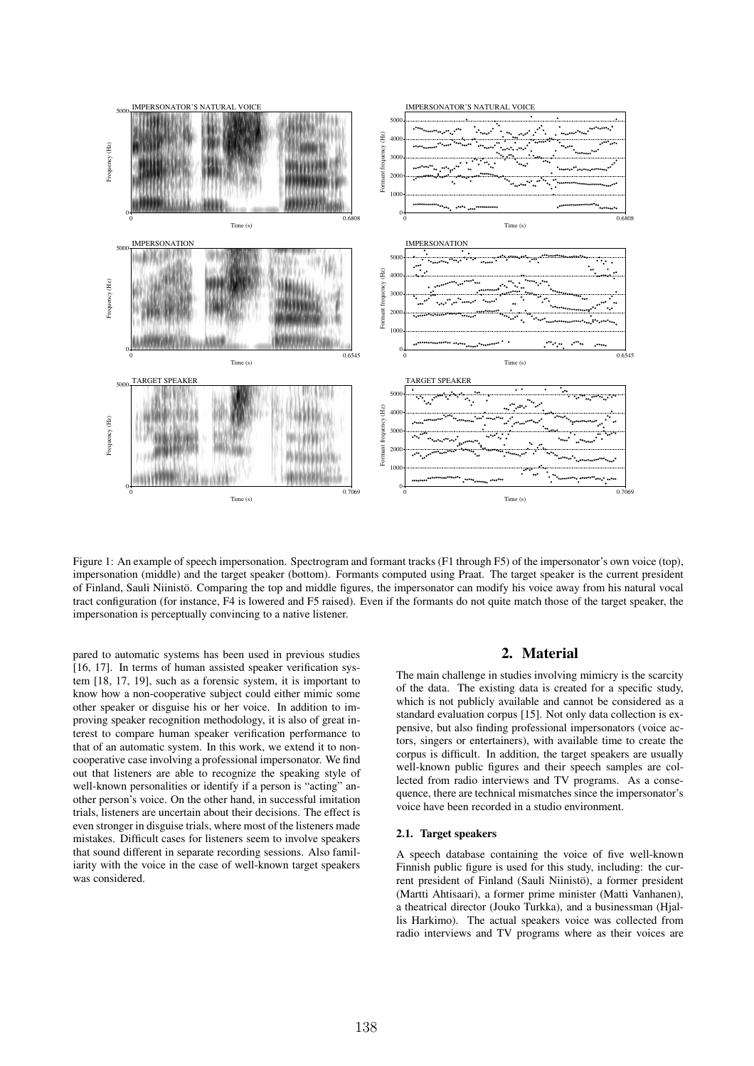

Figure 1: An example of speech impersonation. Spectrogram and formant tracks (F1 through F5) of the impersonator's own voice (top), impersonation (middle) and the target speaker (bottom). Formants computed using Praat. The target speaker is the current president of Finland, Sauli Niinistö. Comparing the top and middle figures, the impersonator can modify his voice away from his natural vocal tract configuration (for instance, F4 is lowered and F5 raised). Even if the formants do not quite match those of the target speaker, the impersonation is perceptually convincing to a native listener.

pared to automatic systems has been used in previous studies [16, 17]. In terms of human assisted speaker verification system [18, 17, 19], such as a forensic system, it is important to know how a non-cooperative subject could either mimic some other speaker or disguise his or her voice. In addition to improving speaker recognition methodology, it is also of great interest to compare human speaker verification performance to that of an automatic system. In this work, we extend it to noncooperative case involving a professional impersonator. We find out that listeners are able to recognize the speaking style of well-known personalities or identify if a person is "acting" another person's voice. On the other hand, in successful imitation trials, listeners are uncertain about their decisions. The effect is even stronger in disguise trials, where most of the listeners made mistakes. Difficult cases for listeners seem to involve speakers that sound different in separate recording sessions. Also familiarity with the voice in the case of well-known target speakers was considered.

## 2. Material

The main challenge in studies involving mimicry is the scarcity of the data. The existing data is created for a specific study, which is not publicly available and cannot be considered as a standard evaluation corpus [15]. Not only data collection is expensive, but also finding professional impersonators (voice actors, singers or entertainers), with available time to create the corpus is difficult. In addition, the target speakers are usually well-known public figures and their speech samples are collected from radio interviews and TV programs. As a consequence, there are technical mismatches since the impersonator's voice have been recorded in a studio environment.

#### 2.1. Target speakers

A speech database containing the voice of five well-known Finnish public figure is used for this study, including: the current president of Finland (Sauli Niinistö), a former president (Martti Ahtisaari), a former prime minister (Matti Vanhanen), a theatrical director (Jouko Turkka), and a businessman (Hjallis Harkimo). The actual speakers voice was collected from radio interviews and TV programs where as their voices are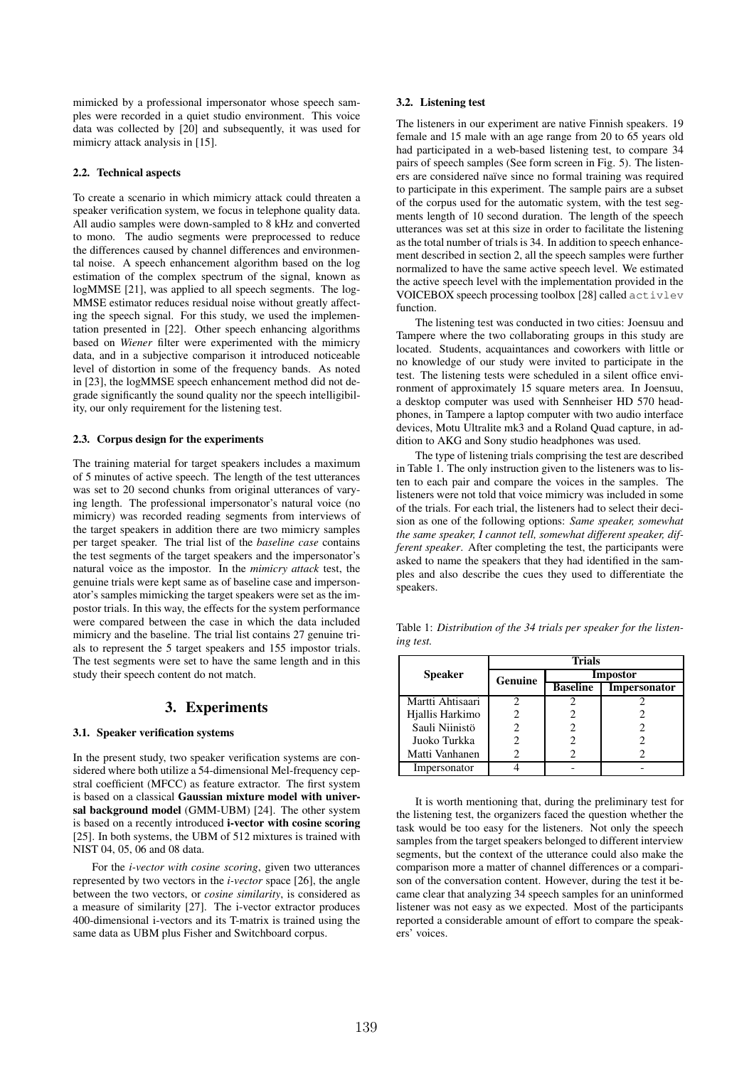mimicked by a professional impersonator whose speech samples were recorded in a quiet studio environment. This voice data was collected by [20] and subsequently, it was used for mimicry attack analysis in [15].

#### 2.2. Technical aspects

To create a scenario in which mimicry attack could threaten a speaker verification system, we focus in telephone quality data. All audio samples were down-sampled to 8 kHz and converted to mono. The audio segments were preprocessed to reduce the differences caused by channel differences and environmental noise. A speech enhancement algorithm based on the log estimation of the complex spectrum of the signal, known as logMMSE [21], was applied to all speech segments. The log-MMSE estimator reduces residual noise without greatly affecting the speech signal. For this study, we used the implementation presented in [22]. Other speech enhancing algorithms based on *Wiener* filter were experimented with the mimicry data, and in a subjective comparison it introduced noticeable level of distortion in some of the frequency bands. As noted in [23], the logMMSE speech enhancement method did not degrade significantly the sound quality nor the speech intelligibility, our only requirement for the listening test.

#### 2.3. Corpus design for the experiments

The training material for target speakers includes a maximum of 5 minutes of active speech. The length of the test utterances was set to 20 second chunks from original utterances of varying length. The professional impersonator's natural voice (no mimicry) was recorded reading segments from interviews of the target speakers in addition there are two mimicry samples per target speaker. The trial list of the *baseline case* contains the test segments of the target speakers and the impersonator's natural voice as the impostor. In the *mimicry attack* test, the genuine trials were kept same as of baseline case and impersonator's samples mimicking the target speakers were set as the impostor trials. In this way, the effects for the system performance were compared between the case in which the data included mimicry and the baseline. The trial list contains 27 genuine trials to represent the 5 target speakers and 155 impostor trials. The test segments were set to have the same length and in this study their speech content do not match.

## 3. Experiments

## 3.1. Speaker verification systems

In the present study, two speaker verification systems are considered where both utilize a 54-dimensional Mel-frequency cepstral coefficient (MFCC) as feature extractor. The first system is based on a classical Gaussian mixture model with universal background model (GMM-UBM) [24]. The other system is based on a recently introduced i-vector with cosine scoring [25]. In both systems, the UBM of 512 mixtures is trained with NIST 04, 05, 06 and 08 data.

For the *i-vector with cosine scoring*, given two utterances represented by two vectors in the *i-vector* space [26], the angle between the two vectors, or *cosine similarity*, is considered as a measure of similarity [27]. The i-vector extractor produces 400-dimensional i-vectors and its T-matrix is trained using the same data as UBM plus Fisher and Switchboard corpus.

#### 3.2. Listening test

The listeners in our experiment are native Finnish speakers. 19 female and 15 male with an age range from 20 to 65 years old had participated in a web-based listening test, to compare 34 pairs of speech samples (See form screen in Fig. 5). The listeners are considered naïve since no formal training was required to participate in this experiment. The sample pairs are a subset of the corpus used for the automatic system, with the test segments length of 10 second duration. The length of the speech utterances was set at this size in order to facilitate the listening as the total number of trials is 34. In addition to speech enhancement described in section 2, all the speech samples were further normalized to have the same active speech level. We estimated the active speech level with the implementation provided in the VOICEBOX speech processing toolbox [28] called activlev function.

The listening test was conducted in two cities: Joensuu and Tampere where the two collaborating groups in this study are located. Students, acquaintances and coworkers with little or no knowledge of our study were invited to participate in the test. The listening tests were scheduled in a silent office environment of approximately 15 square meters area. In Joensuu, a desktop computer was used with Sennheiser HD 570 headphones, in Tampere a laptop computer with two audio interface devices, Motu Ultralite mk3 and a Roland Quad capture, in addition to AKG and Sony studio headphones was used.

The type of listening trials comprising the test are described in Table 1. The only instruction given to the listeners was to listen to each pair and compare the voices in the samples. The listeners were not told that voice mimicry was included in some of the trials. For each trial, the listeners had to select their decision as one of the following options: *Same speaker, somewhat the same speaker, I cannot tell, somewhat different speaker, different speaker*. After completing the test, the participants were asked to name the speakers that they had identified in the samples and also describe the cues they used to differentiate the speakers.

Table 1: *Distribution of the 34 trials per speaker for the listening test.*

|                  | <b>Trials</b>  |                 |              |  |
|------------------|----------------|-----------------|--------------|--|
| <b>Speaker</b>   | <b>Genuine</b> | <b>Impostor</b> |              |  |
|                  |                | <b>Baseline</b> | Impersonator |  |
| Martti Ahtisaari |                |                 |              |  |
| Hjallis Harkimo  |                |                 |              |  |
| Sauli Niinistö   |                | 2               |              |  |
| Juoko Turkka     |                | 2               |              |  |
| Matti Vanhanen   |                |                 |              |  |
| Impersonator     |                |                 |              |  |

It is worth mentioning that, during the preliminary test for the listening test, the organizers faced the question whether the task would be too easy for the listeners. Not only the speech samples from the target speakers belonged to different interview segments, but the context of the utterance could also make the comparison more a matter of channel differences or a comparison of the conversation content. However, during the test it became clear that analyzing 34 speech samples for an uninformed listener was not easy as we expected. Most of the participants reported a considerable amount of effort to compare the speakers' voices.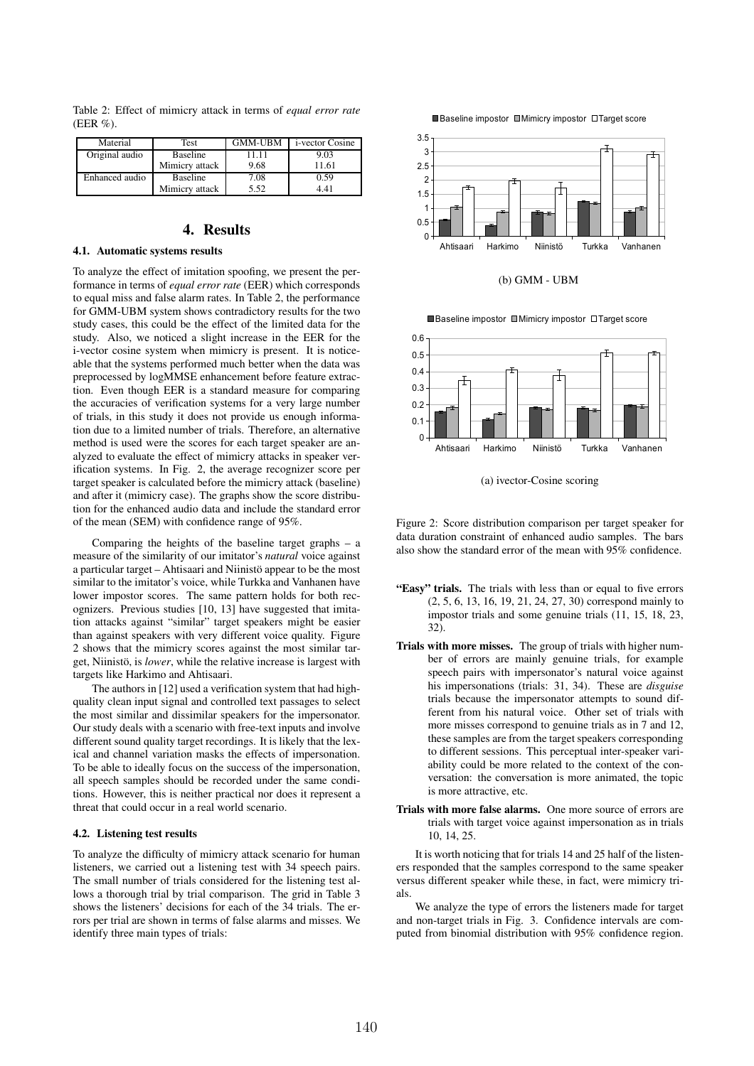| Material       | Test            | <b>GMM-UBM</b> | <i>i</i> -vector Cosine |
|----------------|-----------------|----------------|-------------------------|
| Original audio | <b>Baseline</b> | 11 11          | 9.03                    |
|                | Mimicry attack  | 9.68           | 11.61                   |
| Enhanced audio | <b>Baseline</b> | 7.08           | ).59                    |

Mimicry attack 5.52 4.41

Table 2: Effect of mimicry attack in terms of *equal error rate*

# 4. Results

#### 4.1. Automatic systems results

(EER %).

To analyze the effect of imitation spoofing, we present the performance in terms of *equal error rate* (EER) which corresponds to equal miss and false alarm rates. In Table 2, the performance for GMM-UBM system shows contradictory results for the two study cases, this could be the effect of the limited data for the study. Also, we noticed a slight increase in the EER for the i-vector cosine system when mimicry is present. It is noticeable that the systems performed much better when the data was preprocessed by logMMSE enhancement before feature extraction. Even though EER is a standard measure for comparing the accuracies of verification systems for a very large number of trials, in this study it does not provide us enough information due to a limited number of trials. Therefore, an alternative method is used were the scores for each target speaker are analyzed to evaluate the effect of mimicry attacks in speaker verification systems. In Fig. 2, the average recognizer score per target speaker is calculated before the mimicry attack (baseline) and after it (mimicry case). The graphs show the score distribution for the enhanced audio data and include the standard error of the mean (SEM) with confidence range of 95%.

Comparing the heights of the baseline target graphs – a measure of the similarity of our imitator's *natural* voice against a particular target – Ahtisaari and Niinistö appear to be the most similar to the imitator's voice, while Turkka and Vanhanen have lower impostor scores. The same pattern holds for both recognizers. Previous studies [10, 13] have suggested that imitation attacks against "similar" target speakers might be easier than against speakers with very different voice quality. Figure 2 shows that the mimicry scores against the most similar target, Niinistö, is *lower*, while the relative increase is largest with targets like Harkimo and Ahtisaari.

The authors in [12] used a verification system that had highquality clean input signal and controlled text passages to select the most similar and dissimilar speakers for the impersonator. Our study deals with a scenario with free-text inputs and involve different sound quality target recordings. It is likely that the lexical and channel variation masks the effects of impersonation. To be able to ideally focus on the success of the impersonation, all speech samples should be recorded under the same conditions. However, this is neither practical nor does it represent a threat that could occur in a real world scenario.

#### 4.2. Listening test results

To analyze the difficulty of mimicry attack scenario for human listeners, we carried out a listening test with 34 speech pairs. The small number of trials considered for the listening test allows a thorough trial by trial comparison. The grid in Table 3 shows the listeners' decisions for each of the 34 trials. The errors per trial are shown in terms of false alarms and misses. We identify three main types of trials:





(b) GMM - UBM





(a) ivector-Cosine scoring

Figure 2: Score distribution comparison per target speaker for data duration constraint of enhanced audio samples. The bars also show the standard error of the mean with 95% confidence.

- "Easy" trials. The trials with less than or equal to five errors (2, 5, 6, 13, 16, 19, 21, 24, 27, 30) correspond mainly to impostor trials and some genuine trials (11, 15, 18, 23, 32).
- Trials with more misses. The group of trials with higher number of errors are mainly genuine trials, for example speech pairs with impersonator's natural voice against his impersonations (trials: 31, 34). These are *disguise* trials because the impersonator attempts to sound different from his natural voice. Other set of trials with more misses correspond to genuine trials as in 7 and 12, these samples are from the target speakers corresponding to different sessions. This perceptual inter-speaker variability could be more related to the context of the conversation: the conversation is more animated, the topic is more attractive, etc.
- Trials with more false alarms. One more source of errors are trials with target voice against impersonation as in trials 10, 14, 25.

It is worth noticing that for trials 14 and 25 half of the listeners responded that the samples correspond to the same speaker versus different speaker while these, in fact, were mimicry trials.

We analyze the type of errors the listeners made for target and non-target trials in Fig. 3. Confidence intervals are computed from binomial distribution with 95% confidence region.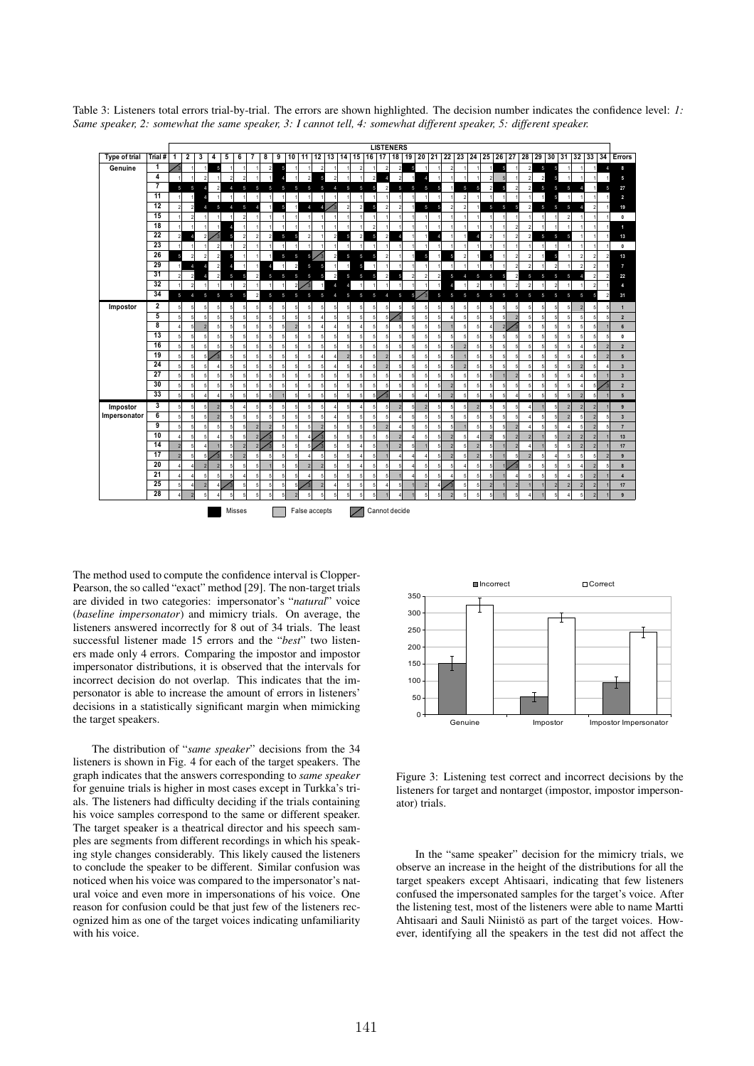

Table 3: Listeners total errors trial-by-trial. The errors are shown highlighted. The decision number indicates the confidence level: *1: Same speaker, 2: somewhat the same speaker, 3: I cannot tell, 4: somewhat different speaker, 5: different speaker.*

The method used to compute the confidence interval is Clopper-Pearson, the so called "exact" method [29]. The non-target trials are divided in two categories: impersonator's "*natural*" voice (*baseline impersonator*) and mimicry trials. On average, the listeners answered incorrectly for 8 out of 34 trials. The least successful listener made 15 errors and the "*best*" two listeners made only 4 errors. Comparing the impostor and impostor impersonator distributions, it is observed that the intervals for incorrect decision do not overlap. This indicates that the impersonator is able to increase the amount of errors in listeners' decisions in a statistically significant margin when mimicking the target speakers.

The distribution of "*same speaker*" decisions from the 34 listeners is shown in Fig. 4 for each of the target speakers. The graph indicates that the answers corresponding to *same speaker* for genuine trials is higher in most cases except in Turkka's trials. The listeners had difficulty deciding if the trials containing his voice samples correspond to the same or different speaker. The target speaker is a theatrical director and his speech samples are segments from different recordings in which his speaking style changes considerably. This likely caused the listeners to conclude the speaker to be different. Similar confusion was noticed when his voice was compared to the impersonator's natural voice and even more in impersonations of his voice. One reason for confusion could be that just few of the listeners recognized him as one of the target voices indicating unfamiliarity with his voice.



Figure 3: Listening test correct and incorrect decisions by the listeners for target and nontarget (impostor, impostor impersonator) trials.

In the "same speaker" decision for the mimicry trials, we observe an increase in the height of the distributions for all the target speakers except Ahtisaari, indicating that few listeners confused the impersonated samples for the target's voice. After the listening test, most of the listeners were able to name Martti Ahtisaari and Sauli Niinistö as part of the target voices. However, identifying all the speakers in the test did not affect the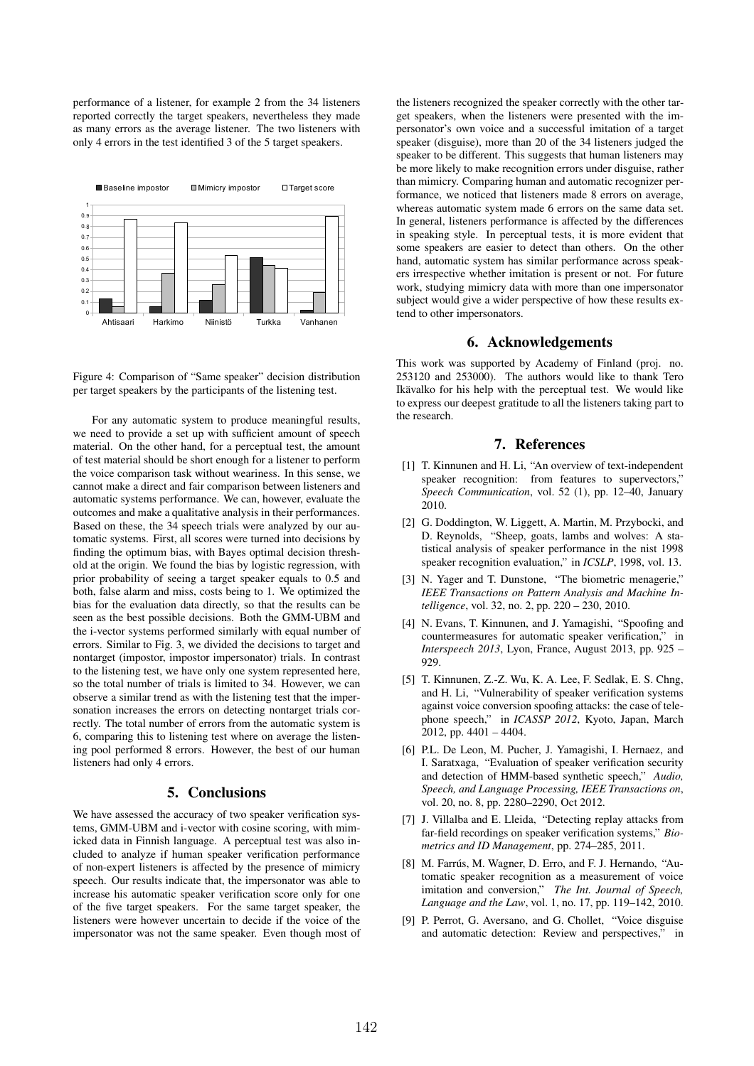performance of a listener, for example 2 from the 34 listeners reported correctly the target speakers, nevertheless they made as many errors as the average listener. The two listeners with only 4 errors in the test identified 3 of the 5 target speakers.





For any automatic system to produce meaningful results, we need to provide a set up with sufficient amount of speech material. On the other hand, for a perceptual test, the amount of test material should be short enough for a listener to perform the voice comparison task without weariness. In this sense, we cannot make a direct and fair comparison between listeners and automatic systems performance. We can, however, evaluate the outcomes and make a qualitative analysis in their performances. Based on these, the 34 speech trials were analyzed by our automatic systems. First, all scores were turned into decisions by finding the optimum bias, with Bayes optimal decision threshold at the origin. We found the bias by logistic regression, with prior probability of seeing a target speaker equals to 0.5 and both, false alarm and miss, costs being to 1. We optimized the bias for the evaluation data directly, so that the results can be seen as the best possible decisions. Both the GMM-UBM and the i-vector systems performed similarly with equal number of errors. Similar to Fig. 3, we divided the decisions to target and nontarget (impostor, impostor impersonator) trials. In contrast to the listening test, we have only one system represented here, so the total number of trials is limited to 34. However, we can observe a similar trend as with the listening test that the impersonation increases the errors on detecting nontarget trials correctly. The total number of errors from the automatic system is 6, comparing this to listening test where on average the listening pool performed 8 errors. However, the best of our human listeners had only 4 errors.

## 5. Conclusions

We have assessed the accuracy of two speaker verification systems, GMM-UBM and i-vector with cosine scoring, with mimicked data in Finnish language. A perceptual test was also included to analyze if human speaker verification performance of non-expert listeners is affected by the presence of mimicry speech. Our results indicate that, the impersonator was able to increase his automatic speaker verification score only for one of the five target speakers. For the same target speaker, the listeners were however uncertain to decide if the voice of the impersonator was not the same speaker. Even though most of the listeners recognized the speaker correctly with the other target speakers, when the listeners were presented with the impersonator's own voice and a successful imitation of a target speaker (disguise), more than 20 of the 34 listeners judged the speaker to be different. This suggests that human listeners may be more likely to make recognition errors under disguise, rather than mimicry. Comparing human and automatic recognizer performance, we noticed that listeners made 8 errors on average, whereas automatic system made 6 errors on the same data set. In general, listeners performance is affected by the differences in speaking style. In perceptual tests, it is more evident that some speakers are easier to detect than others. On the other hand, automatic system has similar performance across speakers irrespective whether imitation is present or not. For future work, studying mimicry data with more than one impersonator subject would give a wider perspective of how these results extend to other impersonators.

## 6. Acknowledgements

This work was supported by Academy of Finland (proj. no. 253120 and 253000). The authors would like to thank Tero Ikävalko for his help with the perceptual test. We would like to express our deepest gratitude to all the listeners taking part to the research.

## 7. References

- [1] T. Kinnunen and H. Li, "An overview of text-independent speaker recognition: from features to supervectors," *Speech Communication*, vol. 52 (1), pp. 12–40, January 2010.
- [2] G. Doddington, W. Liggett, A. Martin, M. Przybocki, and D. Reynolds, "Sheep, goats, lambs and wolves: A statistical analysis of speaker performance in the nist 1998 speaker recognition evaluation," in *ICSLP*, 1998, vol. 13.
- [3] N. Yager and T. Dunstone, "The biometric menagerie," *IEEE Transactions on Pattern Analysis and Machine Intelligence*, vol. 32, no. 2, pp. 220 – 230, 2010.
- [4] N. Evans, T. Kinnunen, and J. Yamagishi, "Spoofing and countermeasures for automatic speaker verification," in *Interspeech 2013*, Lyon, France, August 2013, pp. 925 – 929.
- [5] T. Kinnunen, Z.-Z. Wu, K. A. Lee, F. Sedlak, E. S. Chng, and H. Li, "Vulnerability of speaker verification systems against voice conversion spoofing attacks: the case of telephone speech," in *ICASSP 2012*, Kyoto, Japan, March 2012, pp. 4401 – 4404.
- [6] P.L. De Leon, M. Pucher, J. Yamagishi, I. Hernaez, and I. Saratxaga, "Evaluation of speaker verification security and detection of HMM-based synthetic speech," *Audio, Speech, and Language Processing, IEEE Transactions on*, vol. 20, no. 8, pp. 2280–2290, Oct 2012.
- [7] J. Villalba and E. Lleida, "Detecting replay attacks from far-field recordings on speaker verification systems," *Biometrics and ID Management*, pp. 274–285, 2011.
- [8] M. Farrús, M. Wagner, D. Erro, and F. J. Hernando, "Automatic speaker recognition as a measurement of voice imitation and conversion," *The Int. Journal of Speech, Language and the Law*, vol. 1, no. 17, pp. 119–142, 2010.
- [9] P. Perrot, G. Aversano, and G. Chollet, "Voice disguise and automatic detection: Review and perspectives," in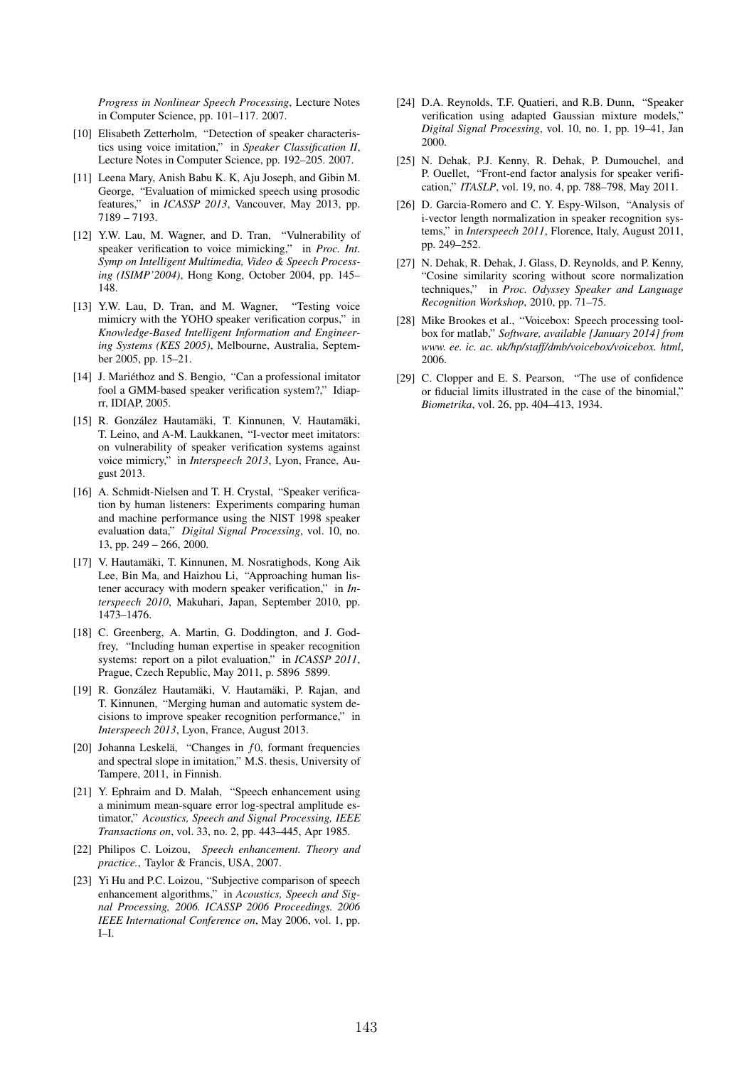*Progress in Nonlinear Speech Processing*, Lecture Notes in Computer Science, pp. 101–117. 2007.

- [10] Elisabeth Zetterholm, "Detection of speaker characteristics using voice imitation," in *Speaker Classification II*, Lecture Notes in Computer Science, pp. 192–205. 2007.
- [11] Leena Mary, Anish Babu K. K, Aju Joseph, and Gibin M. George, "Evaluation of mimicked speech using prosodic features," in *ICASSP 2013*, Vancouver, May 2013, pp. 7189 – 7193.
- [12] Y.W. Lau, M. Wagner, and D. Tran, "Vulnerability of speaker verification to voice mimicking," in *Proc. Int. Symp on Intelligent Multimedia, Video & Speech Processing (ISIMP'2004)*, Hong Kong, October 2004, pp. 145– 148.
- [13] Y.W. Lau, D. Tran, and M. Wagner, "Testing voice mimicry with the YOHO speaker verification corpus," in *Knowledge-Based Intelligent Information and Engineering Systems (KES 2005)*, Melbourne, Australia, September 2005, pp. 15–21.
- [14] J. Mariéthoz and S. Bengio, "Can a professional imitator fool a GMM-based speaker verification system?," Idiaprr, IDIAP, 2005.
- [15] R. González Hautamäki, T. Kinnunen, V. Hautamäki, T. Leino, and A-M. Laukkanen, "I-vector meet imitators: on vulnerability of speaker verification systems against voice mimicry," in *Interspeech 2013*, Lyon, France, August 2013.
- [16] A. Schmidt-Nielsen and T. H. Crystal, "Speaker verification by human listeners: Experiments comparing human and machine performance using the NIST 1998 speaker evaluation data," *Digital Signal Processing*, vol. 10, no. 13, pp. 249 – 266, 2000.
- [17] V. Hautamäki, T. Kinnunen, M. Nosratighods, Kong Aik Lee, Bin Ma, and Haizhou Li, "Approaching human listener accuracy with modern speaker verification," in *Interspeech 2010*, Makuhari, Japan, September 2010, pp. 1473–1476.
- [18] C. Greenberg, A. Martin, G. Doddington, and J. Godfrey, "Including human expertise in speaker recognition systems: report on a pilot evaluation," in *ICASSP 2011*, Prague, Czech Republic, May 2011, p. 5896 5899.
- [19] R. González Hautamäki, V. Hautamäki, P. Rajan, and T. Kinnunen, "Merging human and automatic system decisions to improve speaker recognition performance," in *Interspeech 2013*, Lyon, France, August 2013.
- [20] Johanna Leskelä, "Changes in  $f0$ , formant frequencies and spectral slope in imitation," M.S. thesis, University of Tampere, 2011, in Finnish.
- [21] Y. Ephraim and D. Malah, "Speech enhancement using a minimum mean-square error log-spectral amplitude estimator," *Acoustics, Speech and Signal Processing, IEEE Transactions on*, vol. 33, no. 2, pp. 443–445, Apr 1985.
- [22] Philipos C. Loizou, *Speech enhancement. Theory and practice.*, Taylor & Francis, USA, 2007.
- [23] Yi Hu and P.C. Loizou, "Subjective comparison of speech enhancement algorithms," in *Acoustics, Speech and Signal Processing, 2006. ICASSP 2006 Proceedings. 2006 IEEE International Conference on*, May 2006, vol. 1, pp. I–I.
- [24] D.A. Reynolds, T.F. Quatieri, and R.B. Dunn, "Speaker verification using adapted Gaussian mixture models," *Digital Signal Processing*, vol. 10, no. 1, pp. 19–41, Jan 2000.
- [25] N. Dehak, P.J. Kenny, R. Dehak, P. Dumouchel, and P. Ouellet, "Front-end factor analysis for speaker verification," *ITASLP*, vol. 19, no. 4, pp. 788–798, May 2011.
- [26] D. Garcia-Romero and C. Y. Espy-Wilson, "Analysis of i-vector length normalization in speaker recognition systems," in *Interspeech 2011*, Florence, Italy, August 2011, pp. 249–252.
- [27] N. Dehak, R. Dehak, J. Glass, D. Reynolds, and P. Kenny, "Cosine similarity scoring without score normalization techniques," in *Proc. Odyssey Speaker and Language Recognition Workshop*, 2010, pp. 71–75.
- [28] Mike Brookes et al., "Voicebox: Speech processing toolbox for matlab," *Software, available [January 2014] from www. ee. ic. ac. uk/hp/staff/dmb/voicebox/voicebox. html*, 2006.
- [29] C. Clopper and E. S. Pearson, "The use of confidence or fiducial limits illustrated in the case of the binomial," *Biometrika*, vol. 26, pp. 404–413, 1934.